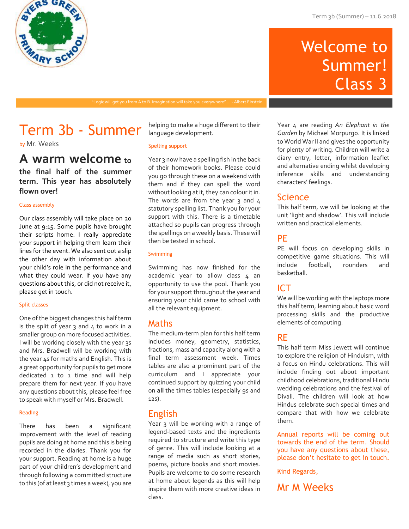## Welcome to Summer! Class 3

# Term 3b - Summer

by Mr. Weeks

## **A warm welcome to**

**the final half of the summer term. This year has absolutely flown over!**

#### Class assembly

Our class assembly will take place on 20 June at 9:15. Some pupils have brought their scripts home. I really appreciate your support in helping them learn their lines for the event. We also sent out a slip the other day with information about your child's role in the performance and what they could wear. If you have any questions about this, or did not receive it, please get in touch.

#### Split classes

One of the biggest changes this half term is the split of year  $3$  and  $4$  to work in a smaller group on more focused activities. I will be working closely with the year 3s and Mrs. Bradwell will be working with the year 4s for maths and English. This is a great opportunity for pupils to get more dedicated 1 to 1 time and will help prepare them for next year. If you have any questions about this, please feel free to speak with myself or Mrs. Bradwell.

#### Reading

There has been a significant improvement with the level of reading pupils are doing at home and this is being recorded in the diaries. Thank you for your support. Reading at home is a huge part of your children's development and through following a committed structure to this (of at least 3 times a week), you are helping to make a huge different to their language development.

#### Spelling support

Year 3 now have a spelling fish in the back of their homework books. Please could you go through these on a weekend with them and if they can spell the word without looking at it, they can colour it in. The words are from the year  $3$  and  $4$ statutory spelling list. Thank you for your support with this. There is a timetable attached so pupils can progress through the spellings on a weekly basis. These will then be tested in school.

#### Swimming

Swimming has now finished for the academic year to allow class 4 an opportunity to use the pool. Thank you for your support throughout the year and ensuring your child came to school with all the relevant equipment.

### Maths

The medium-term plan for this half term includes money, geometry, statistics, fractions, mass and capacity along with a final term assessment week. Times tables are also a prominent part of the curriculum and I appreciate your continued support by quizzing your child on **all** the times tables (especially 9s and 12s).

## English

Year 3 will be working with a range of legend-based texts and the ingredients required to structure and write this type of genre. This will include looking at a range of media such as short stories, poems, picture books and short movies. Pupils are welcome to do some research at home about legends as this will help inspire them with more creative ideas in class.

for plenty of writing. Children will write a<br>diary entry, letter, information leaflet<br>All the child the child the child Year 4 are reading *An Elephant in the Garden* by Michael Morpurgo. It is linked to World War II and gives the opportunity for plenty of writing. Children will write a and alternative ending whilst developing inference skills and understanding characters' feelings.

## Science

This half term, we will be looking at the unit 'light and shadow'. This will include written and practical elements.

### PE

PE will focus on developing skills in competitive game situations. This will include football, rounders and basketball.

## ICT

We will be working with the laptops more this half term, learning about basic word processing skills and the productive elements of computing.

## RE

This half term Miss Jewett will continue to explore the religion of Hinduism, with a focus on Hindu celebrations. This will include finding out about important childhood celebrations, traditional Hindu wedding celebrations and the festival of Divali. The children will look at how Hindus celebrate such special times and compare that with how we celebrate them.

Annual reports will be coming out towards the end of the term. Should you have any questions about these, please don't hesitate to get in touch.

Kind Regards,

Mr M Weeks